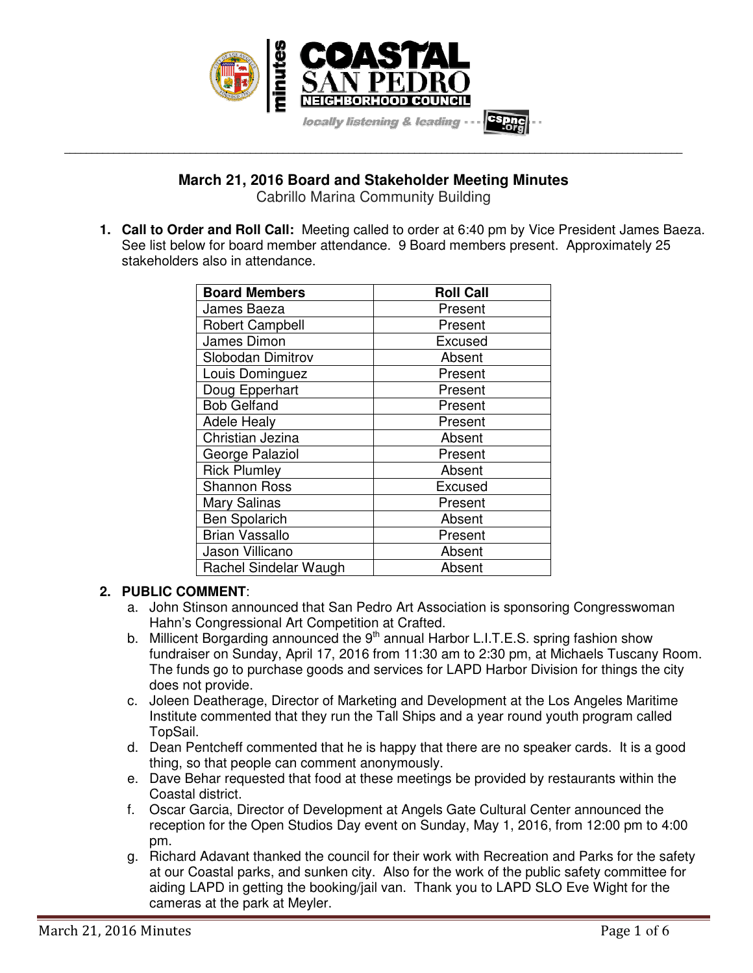

# **March 21, 2016 Board and Stakeholder Meeting Minutes**

**\_\_\_\_\_\_\_\_\_\_\_\_\_\_\_\_\_\_\_\_\_\_\_\_\_\_\_\_\_\_\_\_\_\_\_\_\_\_\_\_\_\_\_\_\_\_\_\_\_\_\_\_\_\_\_\_\_\_\_\_\_\_\_\_\_\_\_\_\_\_\_\_\_\_\_\_\_\_\_\_\_\_\_\_\_\_\_\_\_\_\_\_\_\_\_\_\_\_\_\_\_\_\_\_\_\_\_\_\_\_\_\_\_** 

Cabrillo Marina Community Building

**1. Call to Order and Roll Call:** Meeting called to order at 6:40 pm by Vice President James Baeza. See list below for board member attendance. 9 Board members present. Approximately 25 stakeholders also in attendance.

| <b>Board Members</b>   | <b>Roll Call</b> |
|------------------------|------------------|
| James Baeza            | Present          |
| <b>Robert Campbell</b> | Present          |
| James Dimon            | Excused          |
| Slobodan Dimitrov      | Absent           |
| Louis Dominguez        | Present          |
| Doug Epperhart         | Present          |
| <b>Bob Gelfand</b>     | Present          |
| <b>Adele Healy</b>     | Present          |
| Christian Jezina       | Absent           |
| George Palaziol        | Present          |
| <b>Rick Plumley</b>    | Absent           |
| <b>Shannon Ross</b>    | Excused          |
| Mary Salinas           | Present          |
| <b>Ben Spolarich</b>   | Absent           |
| <b>Brian Vassallo</b>  | Present          |
| Jason Villicano        | Absent           |
| Rachel Sindelar Waugh  | Absent           |

# **2. PUBLIC COMMENT**:

- a. John Stinson announced that San Pedro Art Association is sponsoring Congresswoman Hahn's Congressional Art Competition at Crafted.
- b. Millicent Borgarding announced the  $9<sup>th</sup>$  annual Harbor L.I.T.E.S. spring fashion show fundraiser on Sunday, April 17, 2016 from 11:30 am to 2:30 pm, at Michaels Tuscany Room. The funds go to purchase goods and services for LAPD Harbor Division for things the city does not provide.
- c. Joleen Deatherage, Director of Marketing and Development at the Los Angeles Maritime Institute commented that they run the Tall Ships and a year round youth program called TopSail.
- d. Dean Pentcheff commented that he is happy that there are no speaker cards. It is a good thing, so that people can comment anonymously.
- e. Dave Behar requested that food at these meetings be provided by restaurants within the Coastal district.
- f. Oscar Garcia, Director of Development at Angels Gate Cultural Center announced the reception for the Open Studios Day event on Sunday, May 1, 2016, from 12:00 pm to 4:00 pm.
- g. Richard Adavant thanked the council for their work with Recreation and Parks for the safety at our Coastal parks, and sunken city. Also for the work of the public safety committee for aiding LAPD in getting the booking/jail van. Thank you to LAPD SLO Eve Wight for the cameras at the park at Meyler.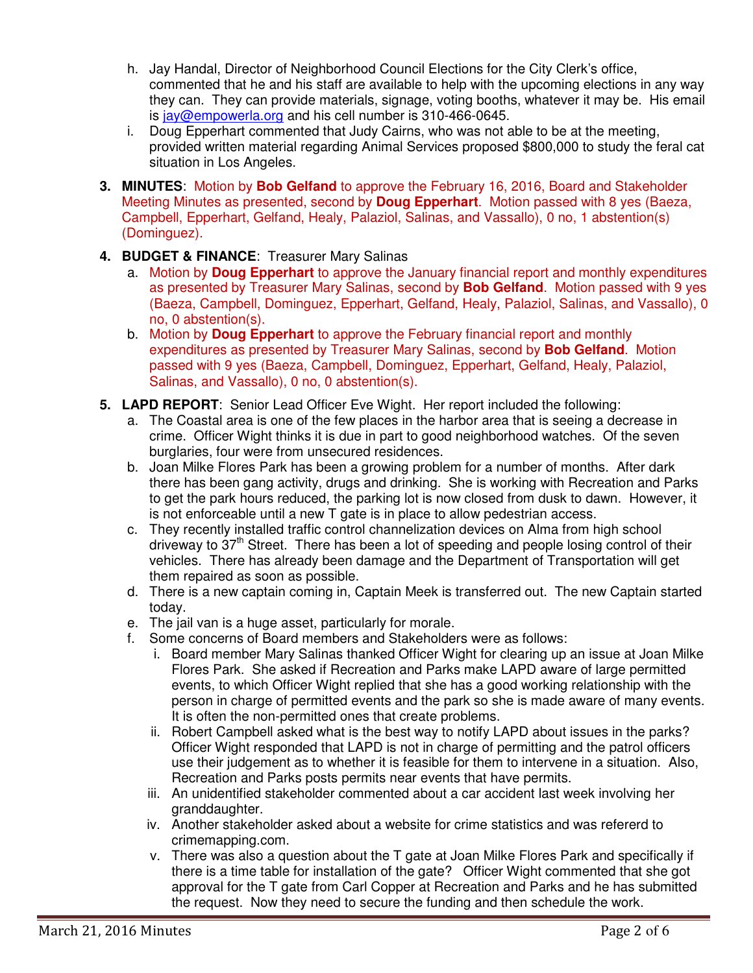- h. Jay Handal, Director of Neighborhood Council Elections for the City Clerk's office, commented that he and his staff are available to help with the upcoming elections in any way they can. They can provide materials, signage, voting booths, whatever it may be. His email is jay@empowerla.org and his cell number is 310-466-0645.
- i. Doug Epperhart commented that Judy Cairns, who was not able to be at the meeting, provided written material regarding Animal Services proposed \$800,000 to study the feral cat situation in Los Angeles.
- **3. MINUTES**: Motion by **Bob Gelfand** to approve the February 16, 2016, Board and Stakeholder Meeting Minutes as presented, second by **Doug Epperhart**. Motion passed with 8 yes (Baeza, Campbell, Epperhart, Gelfand, Healy, Palaziol, Salinas, and Vassallo), 0 no, 1 abstention(s) (Dominguez).
- **4. BUDGET & FINANCE**: Treasurer Mary Salinas
	- a. Motion by **Doug Epperhart** to approve the January financial report and monthly expenditures as presented by Treasurer Mary Salinas, second by **Bob Gelfand**. Motion passed with 9 yes (Baeza, Campbell, Dominguez, Epperhart, Gelfand, Healy, Palaziol, Salinas, and Vassallo), 0 no, 0 abstention(s).
	- b. Motion by **Doug Epperhart** to approve the February financial report and monthly expenditures as presented by Treasurer Mary Salinas, second by **Bob Gelfand**. Motion passed with 9 yes (Baeza, Campbell, Dominguez, Epperhart, Gelfand, Healy, Palaziol, Salinas, and Vassallo), 0 no, 0 abstention(s).
- **5. LAPD REPORT**: Senior Lead Officer Eve Wight. Her report included the following:
	- a. The Coastal area is one of the few places in the harbor area that is seeing a decrease in crime. Officer Wight thinks it is due in part to good neighborhood watches. Of the seven burglaries, four were from unsecured residences.
	- b. Joan Milke Flores Park has been a growing problem for a number of months. After dark there has been gang activity, drugs and drinking. She is working with Recreation and Parks to get the park hours reduced, the parking lot is now closed from dusk to dawn. However, it is not enforceable until a new T gate is in place to allow pedestrian access.
	- c. They recently installed traffic control channelization devices on Alma from high school driveway to  $37<sup>th</sup>$  Street. There has been a lot of speeding and people losing control of their vehicles. There has already been damage and the Department of Transportation will get them repaired as soon as possible.
	- d. There is a new captain coming in, Captain Meek is transferred out. The new Captain started today.
	- e. The jail van is a huge asset, particularly for morale.
	- f. Some concerns of Board members and Stakeholders were as follows:
		- i. Board member Mary Salinas thanked Officer Wight for clearing up an issue at Joan Milke Flores Park. She asked if Recreation and Parks make LAPD aware of large permitted events, to which Officer Wight replied that she has a good working relationship with the person in charge of permitted events and the park so she is made aware of many events. It is often the non-permitted ones that create problems.
		- ii. Robert Campbell asked what is the best way to notify LAPD about issues in the parks? Officer Wight responded that LAPD is not in charge of permitting and the patrol officers use their judgement as to whether it is feasible for them to intervene in a situation. Also, Recreation and Parks posts permits near events that have permits.
		- iii. An unidentified stakeholder commented about a car accident last week involving her granddaughter.
		- iv. Another stakeholder asked about a website for crime statistics and was refererd to crimemapping.com.
		- v. There was also a question about the T gate at Joan Milke Flores Park and specifically if there is a time table for installation of the gate? Officer Wight commented that she got approval for the T gate from Carl Copper at Recreation and Parks and he has submitted the request. Now they need to secure the funding and then schedule the work.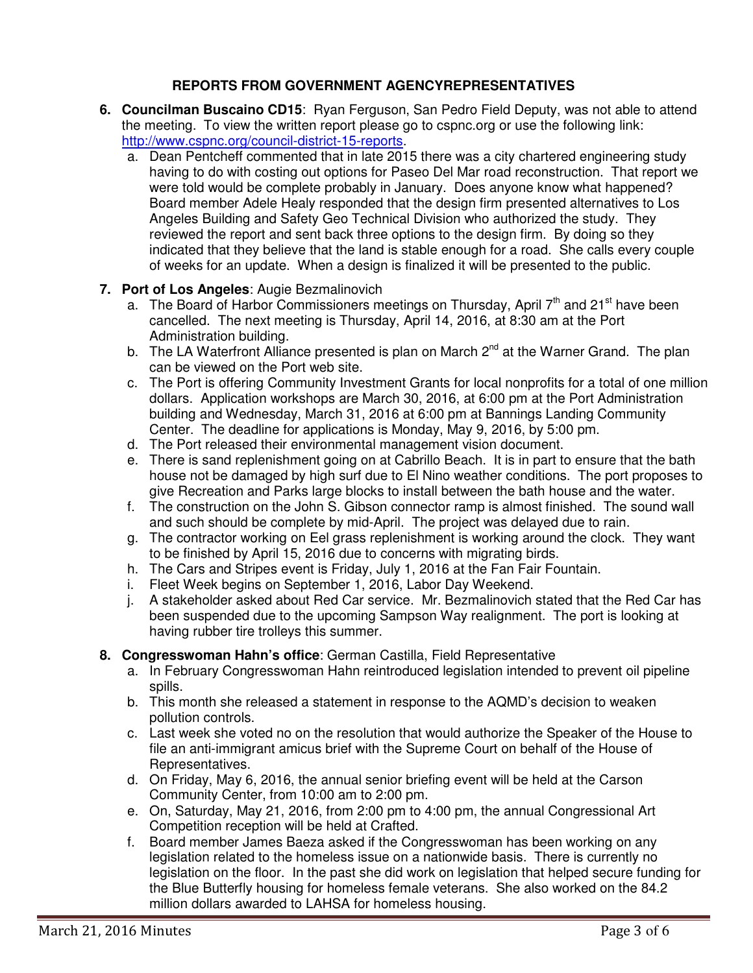# **REPORTS FROM GOVERNMENT AGENCYREPRESENTATIVES**

- **6. Councilman Buscaino CD15**: Ryan Ferguson, San Pedro Field Deputy, was not able to attend the meeting. To view the written report please go to cspnc.org or use the following link: http://www.cspnc.org/council-district-15-reports.
	- a. Dean Pentcheff commented that in late 2015 there was a city chartered engineering study having to do with costing out options for Paseo Del Mar road reconstruction. That report we were told would be complete probably in January. Does anyone know what happened? Board member Adele Healy responded that the design firm presented alternatives to Los Angeles Building and Safety Geo Technical Division who authorized the study. They reviewed the report and sent back three options to the design firm. By doing so they indicated that they believe that the land is stable enough for a road. She calls every couple of weeks for an update. When a design is finalized it will be presented to the public.

## **7. Port of Los Angeles**: Augie Bezmalinovich

- a. The Board of Harbor Commissioners meetings on Thursday, April  $7<sup>th</sup>$  and 21<sup>st</sup> have been cancelled. The next meeting is Thursday, April 14, 2016, at 8:30 am at the Port Administration building.
- b. The LA Waterfront Alliance presented is plan on March  $2^{nd}$  at the Warner Grand. The plan can be viewed on the Port web site.
- c. The Port is offering Community Investment Grants for local nonprofits for a total of one million dollars. Application workshops are March 30, 2016, at 6:00 pm at the Port Administration building and Wednesday, March 31, 2016 at 6:00 pm at Bannings Landing Community Center. The deadline for applications is Monday, May 9, 2016, by 5:00 pm.
- d. The Port released their environmental management vision document.
- e. There is sand replenishment going on at Cabrillo Beach. It is in part to ensure that the bath house not be damaged by high surf due to El Nino weather conditions. The port proposes to give Recreation and Parks large blocks to install between the bath house and the water.
- f. The construction on the John S. Gibson connector ramp is almost finished. The sound wall and such should be complete by mid-April. The project was delayed due to rain.
- g. The contractor working on Eel grass replenishment is working around the clock. They want to be finished by April 15, 2016 due to concerns with migrating birds.
- h. The Cars and Stripes event is Friday, July 1, 2016 at the Fan Fair Fountain.
- i. Fleet Week begins on September 1, 2016, Labor Day Weekend.
- j. A stakeholder asked about Red Car service. Mr. Bezmalinovich stated that the Red Car has been suspended due to the upcoming Sampson Way realignment. The port is looking at having rubber tire trolleys this summer.

#### **8. Congresswoman Hahn's office**: German Castilla, Field Representative

- a. In February Congresswoman Hahn reintroduced legislation intended to prevent oil pipeline spills.
- b. This month she released a statement in response to the AQMD's decision to weaken pollution controls.
- c. Last week she voted no on the resolution that would authorize the Speaker of the House to file an anti-immigrant amicus brief with the Supreme Court on behalf of the House of Representatives.
- d. On Friday, May 6, 2016, the annual senior briefing event will be held at the Carson Community Center, from 10:00 am to 2:00 pm.
- e. On, Saturday, May 21, 2016, from 2:00 pm to 4:00 pm, the annual Congressional Art Competition reception will be held at Crafted.
- f. Board member James Baeza asked if the Congresswoman has been working on any legislation related to the homeless issue on a nationwide basis. There is currently no legislation on the floor. In the past she did work on legislation that helped secure funding for the Blue Butterfly housing for homeless female veterans. She also worked on the 84.2 million dollars awarded to LAHSA for homeless housing.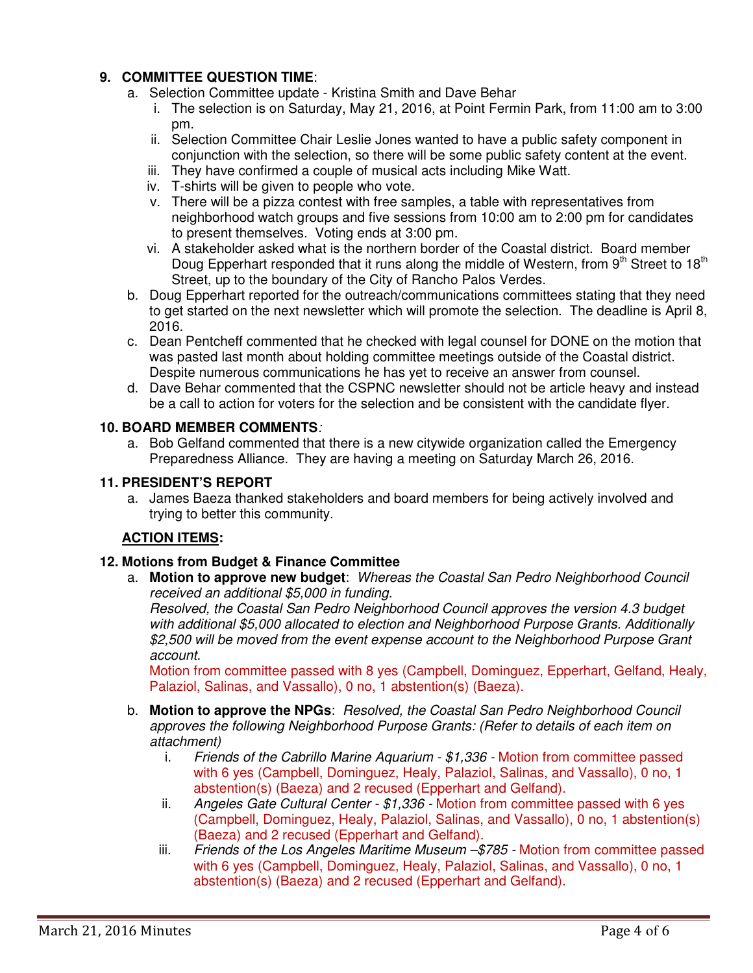# **9. COMMITTEE QUESTION TIME**:

- a. Selection Committee update Kristina Smith and Dave Behar
	- i. The selection is on Saturday, May 21, 2016, at Point Fermin Park, from 11:00 am to 3:00 pm.
	- ii. Selection Committee Chair Leslie Jones wanted to have a public safety component in conjunction with the selection, so there will be some public safety content at the event.
	- iii. They have confirmed a couple of musical acts including Mike Watt.
	- iv. T-shirts will be given to people who vote.
	- v. There will be a pizza contest with free samples, a table with representatives from neighborhood watch groups and five sessions from 10:00 am to 2:00 pm for candidates to present themselves. Voting ends at 3:00 pm.
	- vi. A stakeholder asked what is the northern border of the Coastal district. Board member Doug Epperhart responded that it runs along the middle of Western, from 9<sup>th</sup> Street to 18<sup>th</sup> Street, up to the boundary of the City of Rancho Palos Verdes.
- b. Doug Epperhart reported for the outreach/communications committees stating that they need to get started on the next newsletter which will promote the selection. The deadline is April 8, 2016.
- c. Dean Pentcheff commented that he checked with legal counsel for DONE on the motion that was pasted last month about holding committee meetings outside of the Coastal district. Despite numerous communications he has yet to receive an answer from counsel.
- d. Dave Behar commented that the CSPNC newsletter should not be article heavy and instead be a call to action for voters for the selection and be consistent with the candidate flyer.

## **10. BOARD MEMBER COMMENTS***:*

a. Bob Gelfand commented that there is a new citywide organization called the Emergency Preparedness Alliance. They are having a meeting on Saturday March 26, 2016.

## **11. PRESIDENT'S REPORT**

a. James Baeza thanked stakeholders and board members for being actively involved and trying to better this community.

#### **ACTION ITEMS:**

#### **12. Motions from Budget & Finance Committee**

a. **Motion to approve new budget**: *Whereas the Coastal San Pedro Neighborhood Council received an additional \$5,000 in funding.* 

*Resolved, the Coastal San Pedro Neighborhood Council approves the version 4.3 budget with additional \$5,000 allocated to election and Neighborhood Purpose Grants. Additionally \$2,500 will be moved from the event expense account to the Neighborhood Purpose Grant account.* 

Motion from committee passed with 8 yes (Campbell, Dominguez, Epperhart, Gelfand, Healy, Palaziol, Salinas, and Vassallo), 0 no, 1 abstention(s) (Baeza).

- b. **Motion to approve the NPGs**: *Resolved, the Coastal San Pedro Neighborhood Council approves the following Neighborhood Purpose Grants: (Refer to details of each item on attachment)* 
	- i. *Friends of the Cabrillo Marine Aquarium \$1,336 Motion from committee passed* with 6 yes (Campbell, Dominguez, Healy, Palaziol, Salinas, and Vassallo), 0 no, 1 abstention(s) (Baeza) and 2 recused (Epperhart and Gelfand).
	- ii. *Angeles Gate Cultural Center \$1,336* Motion from committee passed with 6 yes (Campbell, Dominguez, Healy, Palaziol, Salinas, and Vassallo), 0 no, 1 abstention(s) (Baeza) and 2 recused (Epperhart and Gelfand).
	- iii. *Friends of the Los Angeles Maritime Museum –\$785* Motion from committee passed with 6 yes (Campbell, Dominguez, Healy, Palaziol, Salinas, and Vassallo), 0 no, 1 abstention(s) (Baeza) and 2 recused (Epperhart and Gelfand).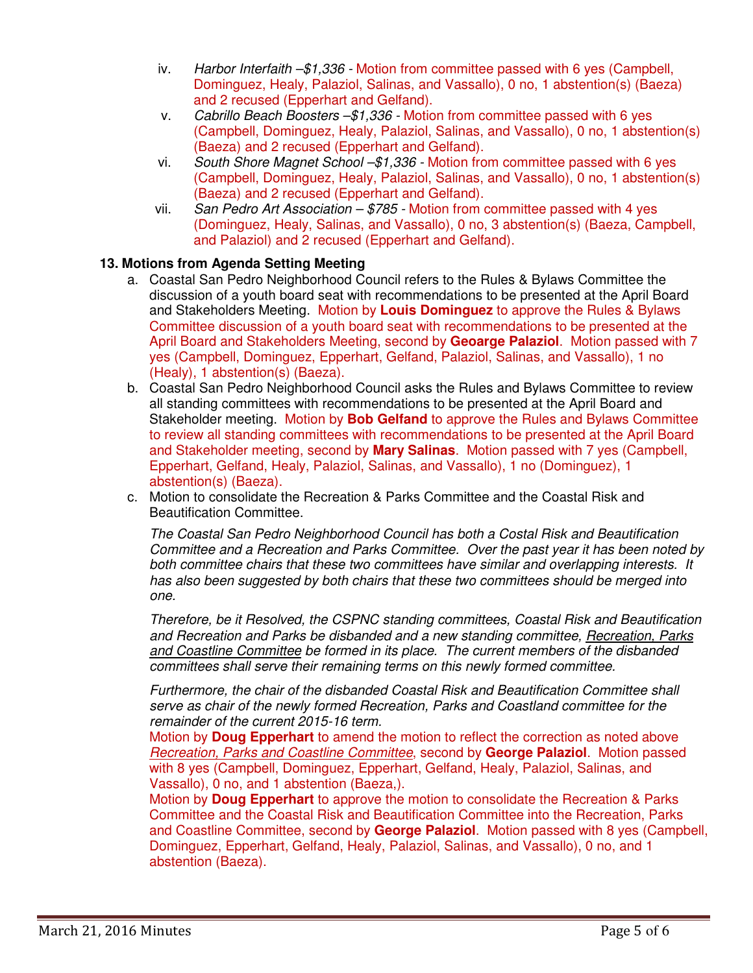- iv. *Harbor Interfaith –\$1,336* Motion from committee passed with 6 yes (Campbell, Dominguez, Healy, Palaziol, Salinas, and Vassallo), 0 no, 1 abstention(s) (Baeza) and 2 recused (Epperhart and Gelfand).
- v. *Cabrillo Beach Boosters –\$1,336* Motion from committee passed with 6 yes (Campbell, Dominguez, Healy, Palaziol, Salinas, and Vassallo), 0 no, 1 abstention(s) (Baeza) and 2 recused (Epperhart and Gelfand).
- vi. *South Shore Magnet School –\$1,336* Motion from committee passed with 6 yes (Campbell, Dominguez, Healy, Palaziol, Salinas, and Vassallo), 0 no, 1 abstention(s) (Baeza) and 2 recused (Epperhart and Gelfand).
- vii. *San Pedro Art Association \$785* Motion from committee passed with 4 yes (Dominguez, Healy, Salinas, and Vassallo), 0 no, 3 abstention(s) (Baeza, Campbell, and Palaziol) and 2 recused (Epperhart and Gelfand).

# **13. Motions from Agenda Setting Meeting**

- a. Coastal San Pedro Neighborhood Council refers to the Rules & Bylaws Committee the discussion of a youth board seat with recommendations to be presented at the April Board and Stakeholders Meeting. Motion by **Louis Dominguez** to approve the Rules & Bylaws Committee discussion of a youth board seat with recommendations to be presented at the April Board and Stakeholders Meeting, second by **Geoarge Palaziol**. Motion passed with 7 yes (Campbell, Dominguez, Epperhart, Gelfand, Palaziol, Salinas, and Vassallo), 1 no (Healy), 1 abstention(s) (Baeza).
- b. Coastal San Pedro Neighborhood Council asks the Rules and Bylaws Committee to review all standing committees with recommendations to be presented at the April Board and Stakeholder meeting. Motion by **Bob Gelfand** to approve the Rules and Bylaws Committee to review all standing committees with recommendations to be presented at the April Board and Stakeholder meeting, second by **Mary Salinas**. Motion passed with 7 yes (Campbell, Epperhart, Gelfand, Healy, Palaziol, Salinas, and Vassallo), 1 no (Dominguez), 1 abstention(s) (Baeza).
- c. Motion to consolidate the Recreation & Parks Committee and the Coastal Risk and Beautification Committee.

*The Coastal San Pedro Neighborhood Council has both a Costal Risk and Beautification Committee and a Recreation and Parks Committee. Over the past year it has been noted by both committee chairs that these two committees have similar and overlapping interests. It has also been suggested by both chairs that these two committees should be merged into one.* 

*Therefore, be it Resolved, the CSPNC standing committees, Coastal Risk and Beautification and Recreation and Parks be disbanded and a new standing committee, Recreation, Parks and Coastline Committee be formed in its place. The current members of the disbanded committees shall serve their remaining terms on this newly formed committee.* 

*Furthermore, the chair of the disbanded Coastal Risk and Beautification Committee shall serve as chair of the newly formed Recreation, Parks and Coastland committee for the remainder of the current 2015-16 term.*

Motion by **Doug Epperhart** to amend the motion to reflect the correction as noted above *Recreation, Parks and Coastline Committee*, second by **George Palaziol**. Motion passed with 8 yes (Campbell, Dominguez, Epperhart, Gelfand, Healy, Palaziol, Salinas, and Vassallo), 0 no, and 1 abstention (Baeza,).

Motion by **Doug Epperhart** to approve the motion to consolidate the Recreation & Parks Committee and the Coastal Risk and Beautification Committee into the Recreation, Parks and Coastline Committee, second by **George Palaziol**. Motion passed with 8 yes (Campbell, Dominguez, Epperhart, Gelfand, Healy, Palaziol, Salinas, and Vassallo), 0 no, and 1 abstention (Baeza).